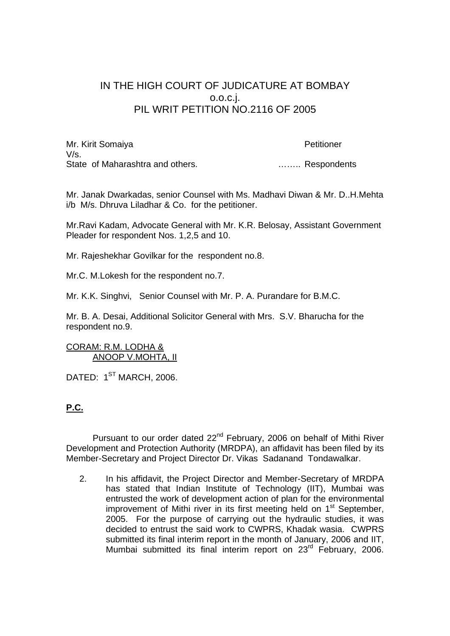## IN THE HIGH COURT OF JUDICATURE AT BOMBAY o.o.c.j. PIL WRIT PETITION NO.2116 OF 2005

Mr. Kirit Somaiya **Petitioner**  $V/s$ . State of Maharashtra and others. **Example 20 matrices** 20 **matrices** 3. ... Respondents

Mr. Janak Dwarkadas, senior Counsel with Ms. Madhavi Diwan & Mr. D..H.Mehta i/b M/s. Dhruva Liladhar & Co. for the petitioner.

Mr.Ravi Kadam, Advocate General with Mr. K.R. Belosay, Assistant Government Pleader for respondent Nos. 1,2,5 and 10.

Mr. Rajeshekhar Govilkar for the respondent no.8.

Mr.C. M.Lokesh for the respondent no.7.

Mr. K.K. Singhvi, Senior Counsel with Mr. P. A. Purandare for B.M.C.

Mr. B. A. Desai, Additional Solicitor General with Mrs. S.V. Bharucha for the respondent no.9.

## CORAM: R.M. LODHA & ANOOP V.MOHTA, II

DATED: 1<sup>ST</sup> MARCH, 2006.

## **P.C.**

Pursuant to our order dated 22<sup>nd</sup> February, 2006 on behalf of Mithi River Development and Protection Authority (MRDPA), an affidavit has been filed by its Member-Secretary and Project Director Dr. Vikas Sadanand Tondawalkar.

2. In his affidavit, the Project Director and Member-Secretary of MRDPA has stated that Indian Institute of Technology (IIT), Mumbai was entrusted the work of development action of plan for the environmental improvement of Mithi river in its first meeting held on 1<sup>st</sup> September, 2005. For the purpose of carrying out the hydraulic studies, it was decided to entrust the said work to CWPRS, Khadak wasia. CWPRS submitted its final interim report in the month of January, 2006 and IIT, Mumbai submitted its final interim report on 23<sup>rd</sup> February, 2006.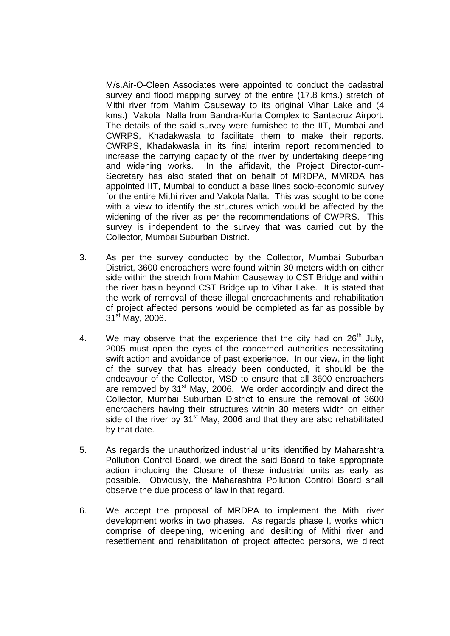M/s.Air-O-Cleen Associates were appointed to conduct the cadastral survey and flood mapping survey of the entire (17.8 kms.) stretch of Mithi river from Mahim Causeway to its original Vihar Lake and (4 kms.) Vakola Nalla from Bandra-Kurla Complex to Santacruz Airport. The details of the said survey were furnished to the IIT, Mumbai and CWRPS, Khadakwasla to facilitate them to make their reports. CWRPS, Khadakwasla in its final interim report recommended to increase the carrying capacity of the river by undertaking deepening and widening works. In the affidavit, the Project Director-cum-Secretary has also stated that on behalf of MRDPA, MMRDA has appointed IIT, Mumbai to conduct a base lines socio-economic survey for the entire Mithi river and Vakola Nalla. This was sought to be done with a view to identify the structures which would be affected by the widening of the river as per the recommendations of CWPRS. This survey is independent to the survey that was carried out by the Collector, Mumbai Suburban District.

- 3. As per the survey conducted by the Collector, Mumbai Suburban District, 3600 encroachers were found within 30 meters width on either side within the stretch from Mahim Causeway to CST Bridge and within the river basin beyond CST Bridge up to Vihar Lake. It is stated that the work of removal of these illegal encroachments and rehabilitation of project affected persons would be completed as far as possible by  $31<sup>st</sup>$  May, 2006.
- 4. We may observe that the experience that the city had on  $26<sup>th</sup>$  July, 2005 must open the eyes of the concerned authorities necessitating swift action and avoidance of past experience. In our view, in the light of the survey that has already been conducted, it should be the endeavour of the Collector, MSD to ensure that all 3600 encroachers are removed by  $31<sup>st</sup>$  May, 2006. We order accordingly and direct the Collector, Mumbai Suburban District to ensure the removal of 3600 encroachers having their structures within 30 meters width on either side of the river by  $31<sup>st</sup>$  May, 2006 and that they are also rehabilitated by that date.
- 5. As regards the unauthorized industrial units identified by Maharashtra Pollution Control Board, we direct the said Board to take appropriate action including the Closure of these industrial units as early as possible. Obviously, the Maharashtra Pollution Control Board shall observe the due process of law in that regard.
- 6. We accept the proposal of MRDPA to implement the Mithi river development works in two phases. As regards phase I, works which comprise of deepening, widening and desilting of Mithi river and resettlement and rehabilitation of project affected persons, we direct